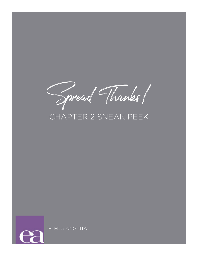Spread Thanks!

# CHAPTER 2 SNEAK PEEK

ELENA ANGUITA

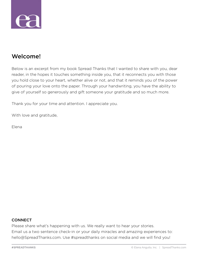

## Welcome!

Below is an excerpt from my book Spread Thanks that I wanted to share with you, dear reader, in the hopes it touches something inside you, that it reconnects you with those you hold close to your heart, whether alive or not, and that it reminds you of the power of pouring your love onto the paper. Through your handwriting, you have the ability to give of yourself so generously and gift someone your gratitude and so much more.

Thank you for your time and attention. I appreciate you.

With love and gratitude,

Elena

#### **CONNECT**

Please share what's happening with us. We really want to hear your stories. Email us a two sentence check-in or your daily miracles and amazing experiences to: hello@SpreadThanks.com. Use #spreadthanks on social media and we will find you!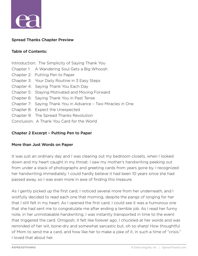

#### Spread Thanks Chapter Preview

#### Table of Contents:

Introduction: The Simplicity of Saying Thank You Chapter 1: A Wandering Soul Gets a Big Whoosh Chapter 2: Putting Pen to Paper Chapter 3: Your Daily Routine in 3 Easy Steps Chapter 4: Saying Thank You Each Day Chapter 5: Staying Motivated and Moving Forward Chapter 6: Saying Thank You in Past Tense Chapter 7: Saying Thank You in Advance – Two Miracles in One Chapter 8: Expect the Unexpected Chapter 9: The Spread Thanks Revolution Conclusion: A Thank You Card for the World

### Chapter 2 Excerpt – Putting Pen to Paper

#### More than Just Words on Paper

It was just an ordinary day and I was clearing out my bedroom closets, when I looked down and my heart caught in my throat. I saw my mother's handwriting peeking out from under a stack of photographs and greeting cards from years gone by. I recognized her handwriting immediately. I could hardly believe it had been 10 years since she had passed away, so I was even more in awe of finding this treasure.

As I gently picked up the first card, I noticed several more from her underneath, and I wistfully decided to read each one that morning, despite the pangs of longing for her that I still felt in my heart. As I opened the first card, I could see it was a humorous one that she had sent me to congratulate me after ending a terrible job. As I read her funny note, in her unmistakable handwriting, I was instantly transported in time to the event that triggered the card. Omigosh, it felt like forever ago. I chuckled at her words and was reminded of her wit, bone-dry and somewhat sarcastic but, oh so sharp! How thoughtful of Mom to send me a card, and how like her to make a joke of it, in such a time of "crisis." I loved that about her.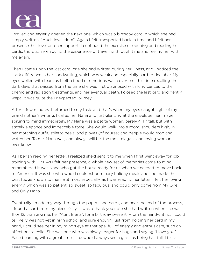

I smiled and eagerly opened the next one, which was a birthday card in which she had simply written, "Much love, Mom". Again I felt transported back in time and I felt her presence, her love, and her support. I continued the exercise of opening and reading her cards, thoroughly enjoying the experience of traveling through time and feeling her with me again.

Then I came upon the last card, one she had written during her illness, and I noticed the stark difference in her handwriting, which was weak and especially hard to decipher. My eyes welled with tears as I felt a flood of emotions wash over me, this time recalling the dark days that passed from the time she was first diagnosed with lung cancer, to the chemo and radiation treatments, and her eventual death. I closed the last card and gently wept. It was quite the unexpected journey.

After a few minutes, I returned to my task, and that's when my eyes caught sight of my grandmother's writing. I called her Nana and just glancing at the envelope, her image sprung to mind immediately. My Nana was a petite woman, barely 4' 11" tall, but with stately elegance and impeccable taste. She would walk into a room, shoulders high, in her matching outfit, stiletto heels, and gloves (of course) and people would stop and watch her. To me, Nana was, and always will be, the most elegant and loving woman I ever knew.

As I began reading her letter, I realized she'd sent it to me when I first went away for job training with IBM. As I felt her presence, a whole new set of memories came to mind. I remembered it was Nana who got the house ready for us when we needed to move back to America. It was she who would cook extraordinary holiday meals and she made the best fudge known to man. But most especially, as I was reading her letter, I felt her loving energy, which was so patient, so sweet, so fabulous, and could only come from My One and Only Nana.

Eventually I made my way through the papers and cards, and near the end of the process, I found a card from my niece Kelly. It was a thank you note she had written when she was 11 or 12, thanking me, her "Aunt Elena", for a birthday present. From the handwriting, I could tell Kelly was not yet in high school and sure enough, just from holding her card in my hand, I could see her in my mind's eye at that age, full of energy and enthusiasm, such an affectionate child. She was one who was always eager for hugs and saying "I love you." Face beaming with a great smile, she would always see a glass as being half full. I felt a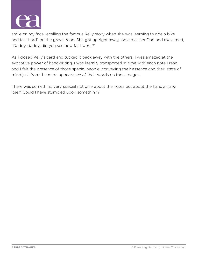

smile on my face recalling the famous Kelly story when she was learning to ride a bike and fell "hard" on the gravel road. She got up right away, looked at her Dad and exclaimed, "Daddy, daddy, did you see how far I went?"

As I closed Kelly's card and tucked it back away with the others, I was amazed at the evocative power of handwriting. I was literally transported in time with each note I read and I felt the presence of those special people, conveying their essence and their state of mind just from the mere appearance of their words on those pages.

There was something very special not only about the notes but about the handwriting itself. Could I have stumbled upon something?